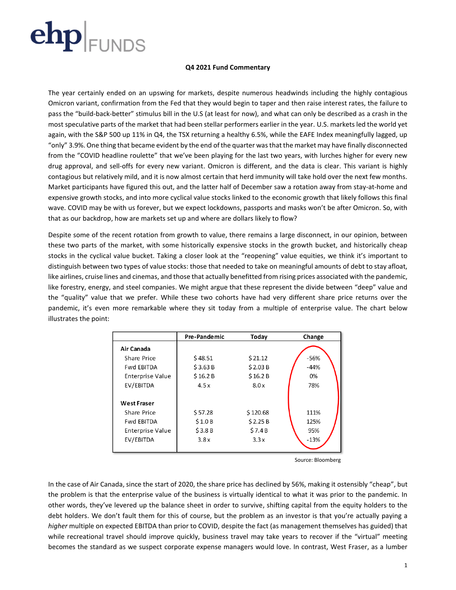### **Q4 2021 Fund Commentary**

The year certainly ended on an upswing for markets, despite numerous headwinds including the highly contagious Omicron variant, confirmation from the Fed that they would begin to taper and then raise interest rates, the failure to pass the "build-back-better" stimulus bill in the U.S (at least for now), and what can only be described as a crash in the most speculative parts of the market that had been stellar performers earlier in the year. U.S. markets led the world yet again, with the S&P 500 up 11% in Q4, the TSX returning a healthy 6.5%, while the EAFE Index meaningfully lagged, up "only" 3.9%. One thing that became evident by the end of the quarter was that the market may have finally disconnected from the "COVID headline roulette" that we've been playing for the last two years, with lurches higher for every new drug approval, and sell-offs for every new variant. Omicron is different, and the data is clear. This variant is highly contagious but relatively mild, and it is now almost certain that herd immunity will take hold over the next few months. Market participants have figured this out, and the latter half of December saw a rotation away from stay-at-home and expensive growth stocks, and into more cyclical value stocks linked to the economic growth that likely follows this final wave. COVID may be with us forever, but we expect lockdowns, passports and masks won't be after Omicron. So, with that as our backdrop, how are markets set up and where are dollars likely to flow?

Despite some of the recent rotation from growth to value, there remains a large disconnect, in our opinion, between these two parts of the market, with some historically expensive stocks in the growth bucket, and historically cheap stocks in the cyclical value bucket. Taking a closer look at the "reopening" value equities, we think it's important to distinguish between two types of value stocks: those that needed to take on meaningful amounts of debt to stay afloat, like airlines, cruise lines and cinemas, and those that actually benefitted from rising prices associated with the pandemic, like forestry, energy, and steel companies. We might argue that these represent the divide between "deep" value and the "quality" value that we prefer. While these two cohorts have had very different share price returns over the pandemic, it's even more remarkable where they sit today from a multiple of enterprise value. The chart below illustrates the point:

|                         | Pre-Pandemic | Today    | Change |  |  |
|-------------------------|--------------|----------|--------|--|--|
| Air Canada              |              |          |        |  |  |
| Share Price             | \$48.51      | \$21.12  | $-56%$ |  |  |
| <b>Fwd EBITDA</b>       | \$3.63B      | \$2.03B  | $-44%$ |  |  |
| <b>Enterprise Value</b> | \$16.2 B     | \$16.2 B | 0%     |  |  |
| EV/EBITDA               | 4.5x         | 8.0x     | 78%    |  |  |
|                         |              |          |        |  |  |
| <b>West Fraser</b>      |              |          |        |  |  |
| Share Price             | \$57.28      | \$120.68 | 111%   |  |  |
| <b>Fwd EBITDA</b>       | \$1.0B       | \$2.25B  | 125%   |  |  |
| Enterprise Value        | \$3.8B       | \$7.4B   | 95%    |  |  |
| EV/EBITDA               | 3.8x         | 3.3x     | $-13%$ |  |  |
|                         |              |          |        |  |  |

Source: Bloomberg

In the case of Air Canada, since the start of 2020, the share price has declined by 56%, making it ostensibly "cheap", but the problem is that the enterprise value of the business is virtually identical to what it was prior to the pandemic. In other words, they've levered up the balance sheet in order to survive, shifting capital from the equity holders to the debt holders. We don't fault them for this of course, but the problem as an investor is that you're actually paying a *higher* multiple on expected EBITDA than prior to COVID, despite the fact (as management themselves has guided) that while recreational travel should improve quickly, business travel may take years to recover if the "virtual" meeting becomes the standard as we suspect corporate expense managers would love. In contrast, West Fraser, as a lumber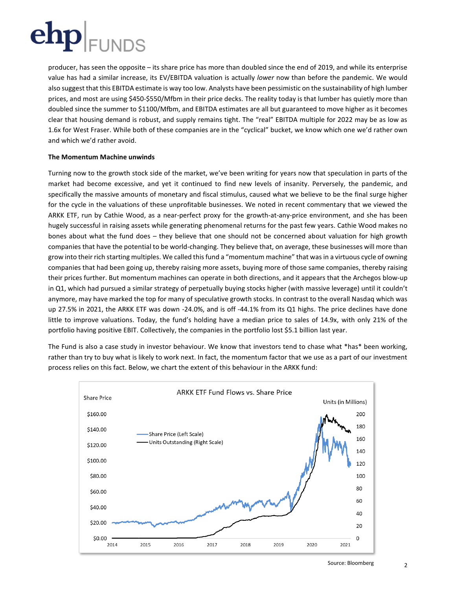

producer, has seen the opposite – its share price has more than doubled since the end of 2019, and while its enterprise value has had a similar increase, its EV/EBITDA valuation is actually *lower* now than before the pandemic. We would also suggest that this EBITDA estimate is way too low. Analysts have been pessimistic on the sustainability of high lumber prices, and most are using \$450-\$550/Mfbm in their price decks. The reality today is that lumber has quietly more than doubled since the summer to \$1100/Mfbm, and EBITDA estimates are all but guaranteed to move higher as it becomes clear that housing demand is robust, and supply remains tight. The "real" EBITDA multiple for 2022 may be as low as 1.6x for West Fraser. While both of these companies are in the "cyclical" bucket, we know which one we'd rather own and which we'd rather avoid.

### **The Momentum Machine unwinds**

Turning now to the growth stock side of the market, we've been writing for years now that speculation in parts of the market had become excessive, and yet it continued to find new levels of insanity. Perversely, the pandemic, and specifically the massive amounts of monetary and fiscal stimulus, caused what we believe to be the final surge higher for the cycle in the valuations of these unprofitable businesses. We noted in recent commentary that we viewed the ARKK ETF, run by Cathie Wood, as a near-perfect proxy for the growth-at-any-price environment, and she has been hugely successful in raising assets while generating phenomenal returns for the past few years. Cathie Wood makes no bones about what the fund does – they believe that one should not be concerned about valuation for high growth companies that have the potential to be world-changing. They believe that, on average, these businesses will more than grow into their rich starting multiples. We called this fund a "momentum machine" that was in a virtuous cycle of owning companies that had been going up, thereby raising more assets, buying more of those same companies, thereby raising their prices further. But momentum machines can operate in both directions, and it appears that the Archegos blow-up in Q1, which had pursued a similar strategy of perpetually buying stocks higher (with massive leverage) until it couldn't anymore, may have marked the top for many of speculative growth stocks. In contrast to the overall Nasdaq which was up 27.5% in 2021, the ARKK ETF was down -24.0%, and is off -44.1% from its Q1 highs. The price declines have done little to improve valuations. Today, the fund's holding have a median price to sales of 14.9x, with only 21% of the portfolio having positive EBIT. Collectively, the companies in the portfolio lost \$5.1 billion last year.

The Fund is also a case study in investor behaviour. We know that investors tend to chase what \*has\* been working, rather than try to buy what is likely to work next. In fact, the momentum factor that we use as a part of our investment process relies on this fact. Below, we chart the extent of this behaviour in the ARKK fund:

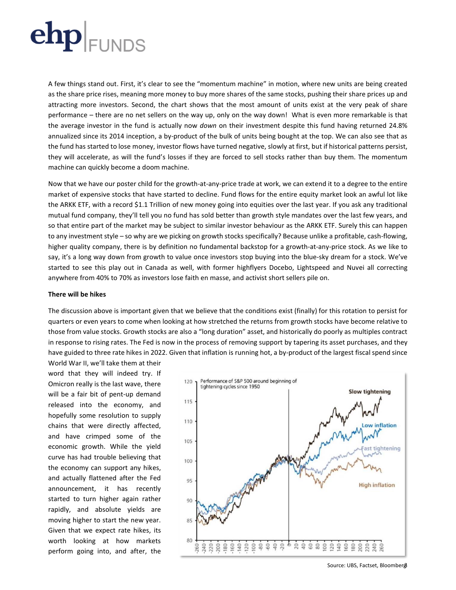A few things stand out. First, it's clear to see the "momentum machine" in motion, where new units are being created as the share price rises, meaning more money to buy more shares of the same stocks, pushing their share prices up and attracting more investors. Second, the chart shows that the most amount of units exist at the very peak of share performance – there are no net sellers on the way up, only on the way down! What is even more remarkable is that the average investor in the fund is actually now *down* on their investment despite this fund having returned 24.8% annualized since its 2014 inception, a by-product of the bulk of units being bought at the top. We can also see that as the fund has started to lose money, investor flows have turned negative, slowly at first, but if historical patterns persist, they will accelerate, as will the fund's losses if they are forced to sell stocks rather than buy them. The momentum machine can quickly become a doom machine.

Now that we have our poster child for the growth-at-any-price trade at work, we can extend it to a degree to the entire market of expensive stocks that have started to decline. Fund flows for the entire equity market look an awful lot like the ARKK ETF, with a record \$1.1 Trillion of new money going into equities over the last year. If you ask any traditional mutual fund company, they'll tell you no fund has sold better than growth style mandates over the last few years, and so that entire part of the market may be subject to similar investor behaviour as the ARKK ETF. Surely this can happen to any investment style – so why are we picking on growth stocks specifically? Because unlike a profitable, cash-flowing, higher quality company, there is by definition no fundamental backstop for a growth-at-any-price stock. As we like to say, it's a long way down from growth to value once investors stop buying into the blue-sky dream for a stock. We've started to see this play out in Canada as well, with former highflyers Docebo, Lightspeed and Nuvei all correcting anywhere from 40% to 70% as investors lose faith en masse, and activist short sellers pile on.

#### **There will be hikes**

The discussion above is important given that we believe that the conditions exist (finally) for this rotation to persist for quarters or even years to come when looking at how stretched the returns from growth stocks have become relative to those from value stocks. Growth stocks are also a "long duration" asset, and historically do poorly as multiples contract in response to rising rates. The Fed is now in the process of removing support by tapering its asset purchases, and they have guided to three rate hikes in 2022. Given that inflation is running hot, a by-product of the largest fiscal spend since

World War II, we'll take them at their word that they will indeed try. If Omicron really is the last wave, there will be a fair bit of pent-up demand released into the economy, and hopefully some resolution to supply chains that were directly affected, and have crimped some of the economic growth. While the yield curve has had trouble believing that the economy can support any hikes, and actually flattened after the Fed announcement, it has recently started to turn higher again rather rapidly, and absolute yields are moving higher to start the new year. Given that we expect rate hikes, its worth looking at how markets perform going into, and after, the



Source: UBS, Factset, Bloomberg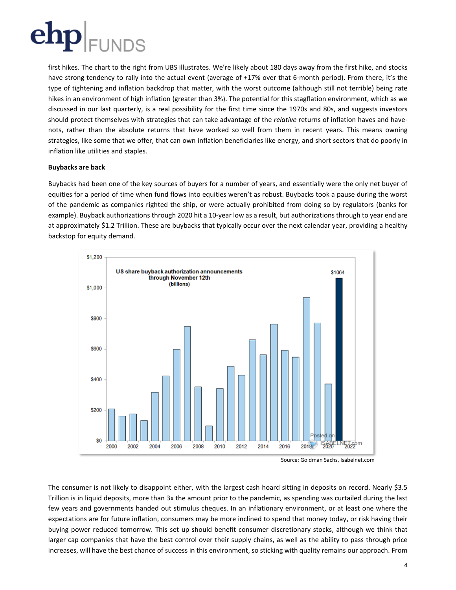

first hikes. The chart to the right from UBS illustrates. We're likely about 180 days away from the first hike, and stocks have strong tendency to rally into the actual event (average of +17% over that 6-month period). From there, it's the type of tightening and inflation backdrop that matter, with the worst outcome (although still not terrible) being rate hikes in an environment of high inflation (greater than 3%). The potential for this stagflation environment, which as we discussed in our last quarterly, is a real possibility for the first time since the 1970s and 80s, and suggests investors should protect themselves with strategies that can take advantage of the *relative* returns of inflation haves and havenots, rather than the absolute returns that have worked so well from them in recent years. This means owning strategies, like some that we offer, that can own inflation beneficiaries like energy, and short sectors that do poorly in inflation like utilities and staples.

### **Buybacks are back**

Buybacks had been one of the key sources of buyers for a number of years, and essentially were the only net buyer of equities for a period of time when fund flows into equities weren't as robust. Buybacks took a pause during the worst of the pandemic as companies righted the ship, or were actually prohibited from doing so by regulators (banks for example). Buyback authorizations through 2020 hit a 10-year low as a result, but authorizations through to year end are at approximately \$1.2 Trillion. These are buybacks that typically occur over the next calendar year, providing a healthy backstop for equity demand.



Source: Goldman Sachs, Isabelnet.com

The consumer is not likely to disappoint either, with the largest cash hoard sitting in deposits on record. Nearly \$3.5 Trillion is in liquid deposits, more than 3x the amount prior to the pandemic, as spending was curtailed during the last few years and governments handed out stimulus cheques. In an inflationary environment, or at least one where the expectations are for future inflation, consumers may be more inclined to spend that money today, or risk having their buying power reduced tomorrow. This set up should benefit consumer discretionary stocks, although we think that larger cap companies that have the best control over their supply chains, as well as the ability to pass through price increases, will have the best chance of success in this environment, so sticking with quality remains our approach. From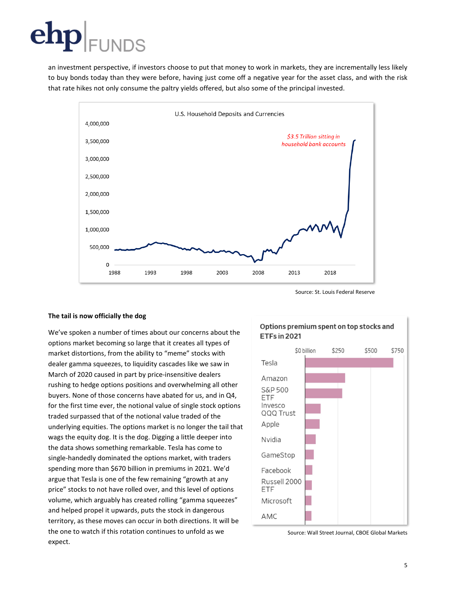## ${\bf ehp}\vert_{\scriptscriptstyle \sf{FUNDS}}$

an investment perspective, if investors choose to put that money to work in markets, they are incrementally less likely to buy bonds today than they were before, having just come off a negative year for the asset class, and with the risk that rate hikes not only consume the paltry yields offered, but also some of the principal invested.





### **The tail is now officially the dog**

We've spoken a number of times about our concerns about the options market becoming so large that it creates all types of market distortions, from the ability to "meme" stocks with dealer gamma squeezes, to liquidity cascades like we saw in March of 2020 caused in part by price-insensitive dealers rushing to hedge options positions and overwhelming all other buyers. None of those concerns have abated for us, and in Q4, for the first time ever, the notional value of single stock options traded surpassed that of the notional value traded of the underlying equities. The options market is no longer the tail that wags the equity dog. It is the dog. Digging a little deeper into the data shows something remarkable. Tesla has come to single-handedly dominated the options market, with traders spending more than \$670 billion in premiums in 2021. We'd argue that Tesla is one of the few remaining "growth at any price" stocks to not have rolled over, and this level of options volume, which arguably has created rolling "gamma squeezes" and helped propel it upwards, puts the stock in dangerous territory, as these moves can occur in both directions. It will be the one to watch if this rotation continues to unfold as we expect.

### Options premium spent on top stocks and **ETFs in 2021**



Source: Wall Street Journal, CBOE Global Markets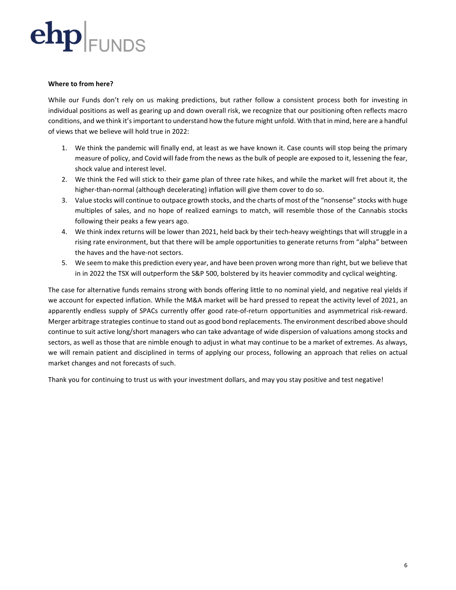

### **Where to from here?**

While our Funds don't rely on us making predictions, but rather follow a consistent process both for investing in individual positions as well as gearing up and down overall risk, we recognize that our positioning often reflects macro conditions, and we think it'simportant to understand how the future might unfold. With that in mind, here are a handful of views that we believe will hold true in 2022:

- 1. We think the pandemic will finally end, at least as we have known it. Case counts will stop being the primary measure of policy, and Covid will fade from the news as the bulk of people are exposed to it, lessening the fear, shock value and interest level.
- 2. We think the Fed will stick to their game plan of three rate hikes, and while the market will fret about it, the higher-than-normal (although decelerating) inflation will give them cover to do so.
- 3. Value stocks will continue to outpace growth stocks, and the charts of most of the "nonsense" stocks with huge multiples of sales, and no hope of realized earnings to match, will resemble those of the Cannabis stocks following their peaks a few years ago.
- 4. We think index returns will be lower than 2021, held back by their tech-heavy weightings that will struggle in a rising rate environment, but that there will be ample opportunities to generate returns from "alpha" between the haves and the have-not sectors.
- 5. We seem to make this prediction every year, and have been proven wrong more than right, but we believe that in in 2022 the TSX will outperform the S&P 500, bolstered by its heavier commodity and cyclical weighting.

The case for alternative funds remains strong with bonds offering little to no nominal yield, and negative real yields if we account for expected inflation. While the M&A market will be hard pressed to repeat the activity level of 2021, an apparently endless supply of SPACs currently offer good rate-of-return opportunities and asymmetrical risk-reward. Merger arbitrage strategies continue to stand out as good bond replacements. The environment described above should continue to suit active long/short managers who can take advantage of wide dispersion of valuations among stocks and sectors, as well as those that are nimble enough to adjust in what may continue to be a market of extremes. As always, we will remain patient and disciplined in terms of applying our process, following an approach that relies on actual market changes and not forecasts of such.

Thank you for continuing to trust us with your investment dollars, and may you stay positive and test negative!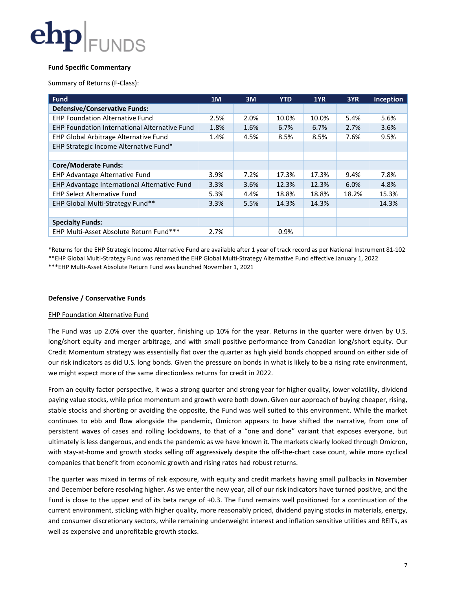

### **Fund Specific Commentary**

Summary of Returns (F-Class):

| <b>Fund</b>                                          | 1M   | 3M   | <b>YTD</b> | 1YR   | 3YR   | <b>Inception</b> |
|------------------------------------------------------|------|------|------------|-------|-------|------------------|
| <b>Defensive/Conservative Funds:</b>                 |      |      |            |       |       |                  |
| <b>EHP Foundation Alternative Fund</b>               | 2.5% | 2.0% | 10.0%      | 10.0% | 5.4%  | 5.6%             |
| <b>EHP Foundation International Alternative Fund</b> | 1.8% | 1.6% | 6.7%       | 6.7%  | 2.7%  | 3.6%             |
| EHP Global Arbitrage Alternative Fund                | 1.4% | 4.5% | 8.5%       | 8.5%  | 7.6%  | 9.5%             |
| EHP Strategic Income Alternative Fund*               |      |      |            |       |       |                  |
|                                                      |      |      |            |       |       |                  |
| <b>Core/Moderate Funds:</b>                          |      |      |            |       |       |                  |
| EHP Advantage Alternative Fund                       | 3.9% | 7.2% | 17.3%      | 17.3% | 9.4%  | 7.8%             |
| EHP Advantage International Alternative Fund         | 3.3% | 3.6% | 12.3%      | 12.3% | 6.0%  | 4.8%             |
| <b>EHP Select Alternative Fund</b>                   | 5.3% | 4.4% | 18.8%      | 18.8% | 18.2% | 15.3%            |
| EHP Global Multi-Strategy Fund**                     | 3.3% | 5.5% | 14.3%      | 14.3% |       | 14.3%            |
|                                                      |      |      |            |       |       |                  |
| <b>Specialty Funds:</b>                              |      |      |            |       |       |                  |
| EHP Multi-Asset Absolute Return Fund***              | 2.7% |      | 0.9%       |       |       |                  |

\*Returns for the EHP Strategic Income Alternative Fund are available after 1 year of track record as per National Instrument 81-102 \*\*EHP Global Multi-Strategy Fund was renamed the EHP Global Multi-Strategy Alternative Fund effective January 1, 2022 \*\*\*EHP Multi-Asset Absolute Return Fund was launched November 1, 2021

#### **Defensive / Conservative Funds**

#### EHP Foundation Alternative Fund

The Fund was up 2.0% over the quarter, finishing up 10% for the year. Returns in the quarter were driven by U.S. long/short equity and merger arbitrage, and with small positive performance from Canadian long/short equity. Our Credit Momentum strategy was essentially flat over the quarter as high yield bonds chopped around on either side of our risk indicators as did U.S. long bonds. Given the pressure on bonds in what is likely to be a rising rate environment, we might expect more of the same directionless returns for credit in 2022.

From an equity factor perspective, it was a strong quarter and strong year for higher quality, lower volatility, dividend paying value stocks, while price momentum and growth were both down. Given our approach of buying cheaper, rising, stable stocks and shorting or avoiding the opposite, the Fund was well suited to this environment. While the market continues to ebb and flow alongside the pandemic, Omicron appears to have shifted the narrative, from one of persistent waves of cases and rolling lockdowns, to that of a "one and done" variant that exposes everyone, but ultimately is less dangerous, and ends the pandemic as we have known it. The markets clearly looked through Omicron, with stay-at-home and growth stocks selling off aggressively despite the off-the-chart case count, while more cyclical companies that benefit from economic growth and rising rates had robust returns.

The quarter was mixed in terms of risk exposure, with equity and credit markets having small pullbacks in November and December before resolving higher. As we enter the new year, all of our risk indicators have turned positive, and the Fund is close to the upper end of its beta range of +0.3. The Fund remains well positioned for a continuation of the current environment, sticking with higher quality, more reasonably priced, dividend paying stocks in materials, energy, and consumer discretionary sectors, while remaining underweight interest and inflation sensitive utilities and REITs, as well as expensive and unprofitable growth stocks.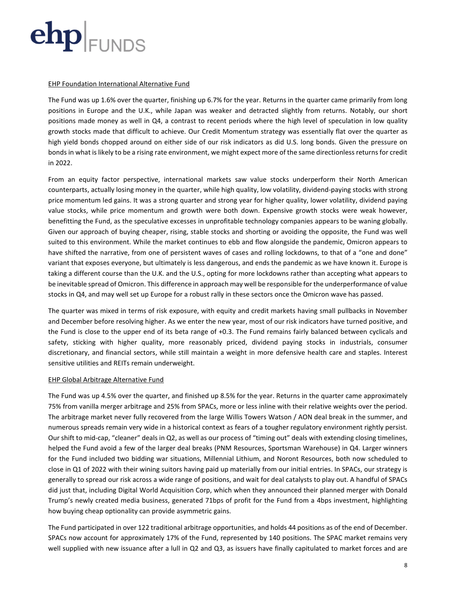

#### EHP Foundation International Alternative Fund

The Fund was up 1.6% over the quarter, finishing up 6.7% for the year. Returns in the quarter came primarily from long positions in Europe and the U.K., while Japan was weaker and detracted slightly from returns. Notably, our short positions made money as well in Q4, a contrast to recent periods where the high level of speculation in low quality growth stocks made that difficult to achieve. Our Credit Momentum strategy was essentially flat over the quarter as high yield bonds chopped around on either side of our risk indicators as did U.S. long bonds. Given the pressure on bonds in what is likely to be a rising rate environment, we might expect more of the same directionless returns for credit in 2022.

From an equity factor perspective, international markets saw value stocks underperform their North American counterparts, actually losing money in the quarter, while high quality, low volatility, dividend-paying stocks with strong price momentum led gains. It was a strong quarter and strong year for higher quality, lower volatility, dividend paying value stocks, while price momentum and growth were both down. Expensive growth stocks were weak however, benefitting the Fund, as the speculative excesses in unprofitable technology companies appears to be waning globally. Given our approach of buying cheaper, rising, stable stocks and shorting or avoiding the opposite, the Fund was well suited to this environment. While the market continues to ebb and flow alongside the pandemic, Omicron appears to have shifted the narrative, from one of persistent waves of cases and rolling lockdowns, to that of a "one and done" variant that exposes everyone, but ultimately is less dangerous, and ends the pandemic as we have known it. Europe is taking a different course than the U.K. and the U.S., opting for more lockdowns rather than accepting what appears to be inevitable spread of Omicron. This difference in approach may well be responsible for the underperformance of value stocks in Q4, and may well set up Europe for a robust rally in these sectors once the Omicron wave has passed.

The quarter was mixed in terms of risk exposure, with equity and credit markets having small pullbacks in November and December before resolving higher. As we enter the new year, most of our risk indicators have turned positive, and the Fund is close to the upper end of its beta range of +0.3. The Fund remains fairly balanced between cyclicals and safety, sticking with higher quality, more reasonably priced, dividend paying stocks in industrials, consumer discretionary, and financial sectors, while still maintain a weight in more defensive health care and staples. Interest sensitive utilities and REITs remain underweight.

#### EHP Global Arbitrage Alternative Fund

The Fund was up 4.5% over the quarter, and finished up 8.5% for the year. Returns in the quarter came approximately 75% from vanilla merger arbitrage and 25% from SPACs, more or less inline with their relative weights over the period. The arbitrage market never fully recovered from the large Willis Towers Watson / AON deal break in the summer, and numerous spreads remain very wide in a historical context as fears of a tougher regulatory environment rightly persist. Our shift to mid-cap, "cleaner" deals in Q2, as well as our process of "timing out" deals with extending closing timelines, helped the Fund avoid a few of the larger deal breaks (PNM Resources, Sportsman Warehouse) in Q4. Larger winners for the Fund included two bidding war situations, Millennial Lithium, and Noront Resources, both now scheduled to close in Q1 of 2022 with their wining suitors having paid up materially from our initial entries. In SPACs, our strategy is generally to spread our risk across a wide range of positions, and wait for deal catalysts to play out. A handful of SPACs did just that, including Digital World Acquisition Corp, which when they announced their planned merger with Donald Trump's newly created media business, generated 71bps of profit for the Fund from a 4bps investment, highlighting how buying cheap optionality can provide asymmetric gains.

The Fund participated in over 122 traditional arbitrage opportunities, and holds 44 positions as of the end of December. SPACs now account for approximately 17% of the Fund, represented by 140 positions. The SPAC market remains very well supplied with new issuance after a lull in Q2 and Q3, as issuers have finally capitulated to market forces and are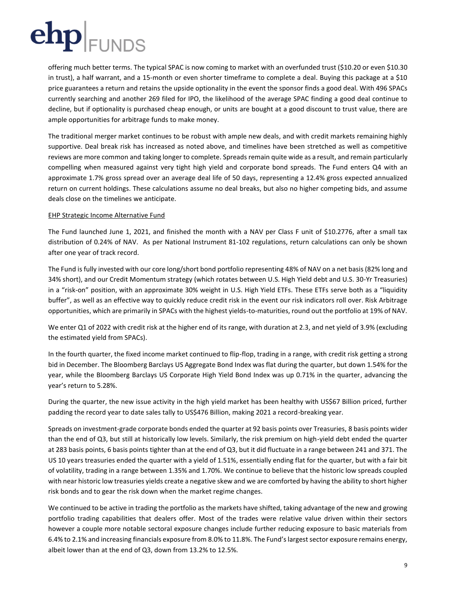offering much better terms. The typical SPAC is now coming to market with an overfunded trust (\$10.20 or even \$10.30 in trust), a half warrant, and a 15-month or even shorter timeframe to complete a deal. Buying this package at a \$10 price guarantees a return and retains the upside optionality in the event the sponsor finds a good deal. With 496 SPACs currently searching and another 269 filed for IPO, the likelihood of the average SPAC finding a good deal continue to decline, but if optionality is purchased cheap enough, or units are bought at a good discount to trust value, there are ample opportunities for arbitrage funds to make money.

The traditional merger market continues to be robust with ample new deals, and with credit markets remaining highly supportive. Deal break risk has increased as noted above, and timelines have been stretched as well as competitive reviews are more common and taking longer to complete. Spreads remain quite wide as a result, and remain particularly compelling when measured against very tight high yield and corporate bond spreads. The Fund enters Q4 with an approximate 1.7% gross spread over an average deal life of 50 days, representing a 12.4% gross expected annualized return on current holdings. These calculations assume no deal breaks, but also no higher competing bids, and assume deals close on the timelines we anticipate.

### EHP Strategic Income Alternative Fund

The Fund launched June 1, 2021, and finished the month with a NAV per Class F unit of \$10.2776, after a small tax distribution of 0.24% of NAV. As per National Instrument 81-102 regulations, return calculations can only be shown after one year of track record.

The Fund is fully invested with our core long/short bond portfolio representing 48% of NAV on a net basis (82% long and 34% short), and our Credit Momentum strategy (which rotates between U.S. High Yield debt and U.S. 30-Yr Treasuries) in a "risk-on" position, with an approximate 30% weight in U.S. High Yield ETFs. These ETFs serve both as a "liquidity buffer", as well as an effective way to quickly reduce credit risk in the event our risk indicators roll over. Risk Arbitrage opportunities, which are primarily in SPACs with the highest yields-to-maturities, round out the portfolio at 19% of NAV.

We enter Q1 of 2022 with credit risk at the higher end of its range, with duration at 2.3, and net yield of 3.9% (excluding the estimated yield from SPACs).

In the fourth quarter, the fixed income market continued to flip-flop, trading in a range, with credit risk getting a strong bid in December. The Bloomberg Barclays US Aggregate Bond Index was flat during the quarter, but down 1.54% for the year, while the Bloomberg Barclays US Corporate High Yield Bond Index was up 0.71% in the quarter, advancing the year's return to 5.28%.

During the quarter, the new issue activity in the high yield market has been healthy with US\$67 Billion priced, further padding the record year to date sales tally to US\$476 Billion, making 2021 a record-breaking year.

Spreads on investment-grade corporate bonds ended the quarter at 92 basis points over Treasuries, 8 basis points wider than the end of Q3, but still at historically low levels. Similarly, the risk premium on high-yield debt ended the quarter at 283 basis points, 6 basis points tighter than at the end of Q3, but it did fluctuate in a range between 241 and 371. The US 10 years treasuries ended the quarter with a yield of 1.51%, essentially ending flat for the quarter, but with a fair bit of volatility, trading in a range between 1.35% and 1.70%. We continue to believe that the historic low spreads coupled with near historic low treasuries yields create a negative skew and we are comforted by having the ability to short higher risk bonds and to gear the risk down when the market regime changes.

We continued to be active in trading the portfolio as the markets have shifted, taking advantage of the new and growing portfolio trading capabilities that dealers offer. Most of the trades were relative value driven within their sectors however a couple more notable sectoral exposure changes include further reducing exposure to basic materials from 6.4% to 2.1% and increasing financials exposure from 8.0% to 11.8%. The Fund's largest sector exposure remains energy, albeit lower than at the end of Q3, down from 13.2% to 12.5%.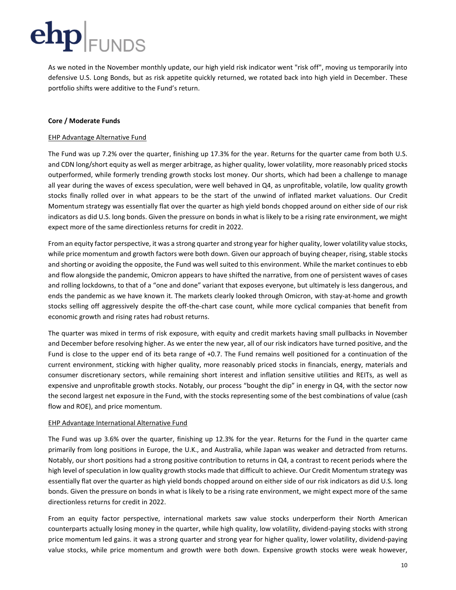As we noted in the November monthly update, our high yield risk indicator went "risk off", moving us temporarily into defensive U.S. Long Bonds, but as risk appetite quickly returned, we rotated back into high yield in December. These portfolio shifts were additive to the Fund's return.

### **Core / Moderate Funds**

### EHP Advantage Alternative Fund

The Fund was up 7.2% over the quarter, finishing up 17.3% for the year. Returns for the quarter came from both U.S. and CDN long/short equity as well as merger arbitrage, as higher quality, lower volatility, more reasonably priced stocks outperformed, while formerly trending growth stocks lost money. Our shorts, which had been a challenge to manage all year during the waves of excess speculation, were well behaved in Q4, as unprofitable, volatile, low quality growth stocks finally rolled over in what appears to be the start of the unwind of inflated market valuations. Our Credit Momentum strategy was essentially flat over the quarter as high yield bonds chopped around on either side of our risk indicators as did U.S. long bonds. Given the pressure on bonds in what is likely to be a rising rate environment, we might expect more of the same directionless returns for credit in 2022.

From an equity factor perspective, it was a strong quarter and strong year for higher quality, lower volatility value stocks, while price momentum and growth factors were both down. Given our approach of buying cheaper, rising, stable stocks and shorting or avoiding the opposite, the Fund was well suited to this environment. While the market continues to ebb and flow alongside the pandemic, Omicron appears to have shifted the narrative, from one of persistent waves of cases and rolling lockdowns, to that of a "one and done" variant that exposes everyone, but ultimately is less dangerous, and ends the pandemic as we have known it. The markets clearly looked through Omicron, with stay-at-home and growth stocks selling off aggressively despite the off-the-chart case count, while more cyclical companies that benefit from economic growth and rising rates had robust returns.

The quarter was mixed in terms of risk exposure, with equity and credit markets having small pullbacks in November and December before resolving higher. As we enter the new year, all of our risk indicators have turned positive, and the Fund is close to the upper end of its beta range of +0.7. The Fund remains well positioned for a continuation of the current environment, sticking with higher quality, more reasonably priced stocks in financials, energy, materials and consumer discretionary sectors, while remaining short interest and inflation sensitive utilities and REITs, as well as expensive and unprofitable growth stocks. Notably, our process "bought the dip" in energy in Q4, with the sector now the second largest net exposure in the Fund, with the stocks representing some of the best combinations of value (cash flow and ROE), and price momentum.

### EHP Advantage International Alternative Fund

The Fund was up 3.6% over the quarter, finishing up 12.3% for the year. Returns for the Fund in the quarter came primarily from long positions in Europe, the U.K., and Australia, while Japan was weaker and detracted from returns. Notably, our short positions had a strong positive contribution to returns in Q4, a contrast to recent periods where the high level of speculation in low quality growth stocks made that difficult to achieve. Our Credit Momentum strategy was essentially flat over the quarter as high yield bonds chopped around on either side of our risk indicators as did U.S. long bonds. Given the pressure on bonds in what is likely to be a rising rate environment, we might expect more of the same directionless returns for credit in 2022.

From an equity factor perspective, international markets saw value stocks underperform their North American counterparts actually losing money in the quarter, while high quality, low volatility, dividend-paying stocks with strong price momentum led gains. it was a strong quarter and strong year for higher quality, lower volatility, dividend-paying value stocks, while price momentum and growth were both down. Expensive growth stocks were weak however,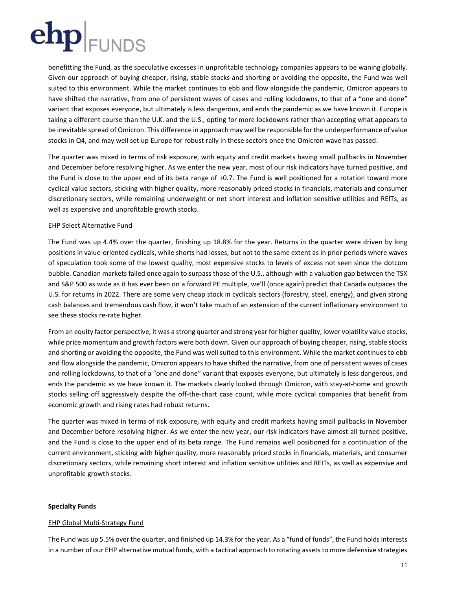benefitting the Fund, as the speculative excesses in unprofitable technology companies appears to be waning globally. Given our approach of buying cheaper, rising, stable stocks and shorting or avoiding the opposite, the Fund was well suited to this environment. While the market continues to ebb and flow alongside the pandemic, Omicron appears to have shifted the narrative, from one of persistent waves of cases and rolling lockdowns, to that of a "one and done" variant that exposes everyone, but ultimately is less dangerous, and ends the pandemic as we have known it. Europe is taking a different course than the U.K. and the U.S., opting for more lockdowns rather than accepting what appears to be inevitable spread of Omicron. This difference in approach may well be responsible for the underperformance of value stocks in Q4, and may well set up Europe for robust rally in these sectors once the Omicron wave has passed.

The quarter was mixed in terms of risk exposure, with equity and credit markets having small pullbacks in November and December before resolving higher. As we enter the new year, most of our risk indicators have turned positive, and the Fund is close to the upper end of its beta range of +0.7. The Fund is well positioned for a rotation toward more cyclical value sectors, sticking with higher quality, more reasonably priced stocks in financials, materials and consumer discretionary sectors, while remaining underweight or net short interest and inflation sensitive utilities and REITs, as well as expensive and unprofitable growth stocks.

### EHP Select Alternative Fund

The Fund was up 4.4% over the quarter, finishing up 18.8% for the year. Returns in the quarter were driven by long positions in value-oriented cyclicals, while shorts had losses, but not to the same extent as in prior periods where waves of speculation took some of the lowest quality, most expensive stocks to levels of excess not seen since the dotcom bubble. Canadian markets failed once again to surpass those of the U.S., although with a valuation gap between the TSX and S&P 500 as wide as it has ever been on a forward PE multiple, we'll (once again) predict that Canada outpaces the U.S. for returns in 2022. There are some very cheap stock in cyclicals sectors (forestry, steel, energy), and given strong cash balances and tremendous cash flow, it won't take much of an extension of the current inflationary environment to see these stocks re-rate higher.

From an equity factor perspective, it was a strong quarter and strong year for higher quality, lower volatility value stocks, while price momentum and growth factors were both down. Given our approach of buying cheaper, rising, stable stocks and shorting or avoiding the opposite, the Fund was well suited to this environment. While the market continues to ebb and flow alongside the pandemic, Omicron appears to have shifted the narrative, from one of persistent waves of cases and rolling lockdowns, to that of a "one and done" variant that exposes everyone, but ultimately is less dangerous, and ends the pandemic as we have known it. The markets clearly looked through Omicron, with stay-at-home and growth stocks selling off aggressively despite the off-the-chart case count, while more cyclical companies that benefit from economic growth and rising rates had robust returns.

The quarter was mixed in terms of risk exposure, with equity and credit markets having small pullbacks in November and December before resolving higher. As we enter the new year, our risk indicators have almost all turned positive, and the Fund is close to the upper end of its beta range. The Fund remains well positioned for a continuation of the current environment, sticking with higher quality, more reasonably priced stocks in financials, materials, and consumer discretionary sectors, while remaining short interest and inflation sensitive utilities and REITs, as well as expensive and unprofitable growth stocks.

### **Specialty Funds**

### EHP Global Multi-Strategy Fund

The Fund was up 5.5% over the quarter, and finished up 14.3% for the year. As a "fund of funds", the Fund holds interests in a number of our EHP alternative mutual funds, with a tactical approach to rotating assets to more defensive strategies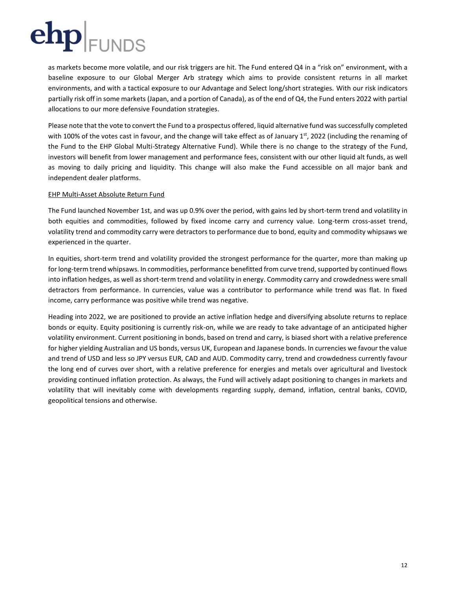as markets become more volatile, and our risk triggers are hit. The Fund entered Q4 in a "risk on" environment, with a baseline exposure to our Global Merger Arb strategy which aims to provide consistent returns in all market environments, and with a tactical exposure to our Advantage and Select long/short strategies. With our risk indicators partially risk off in some markets (Japan, and a portion of Canada), as of the end of Q4, the Fund enters 2022 with partial allocations to our more defensive Foundation strategies.

Please note that the vote to convert the Fund to a prospectus offered, liquid alternative fund was successfully completed with 100% of the votes cast in favour, and the change will take effect as of January  $1<sup>st</sup>$ , 2022 (including the renaming of the Fund to the EHP Global Multi-Strategy Alternative Fund). While there is no change to the strategy of the Fund, investors will benefit from lower management and performance fees, consistent with our other liquid alt funds, as well as moving to daily pricing and liquidity. This change will also make the Fund accessible on all major bank and independent dealer platforms.

### EHP Multi-Asset Absolute Return Fund

The Fund launched November 1st, and was up 0.9% over the period, with gains led by short-term trend and volatility in both equities and commodities, followed by fixed income carry and currency value. Long-term cross-asset trend, volatility trend and commodity carry were detractors to performance due to bond, equity and commodity whipsaws we experienced in the quarter.

In equities, short-term trend and volatility provided the strongest performance for the quarter, more than making up for long-term trend whipsaws. In commodities, performance benefitted from curve trend, supported by continued flows into inflation hedges, as well as short-term trend and volatility in energy. Commodity carry and crowdedness were small detractors from performance. In currencies, value was a contributor to performance while trend was flat. In fixed income, carry performance was positive while trend was negative.

Heading into 2022, we are positioned to provide an active inflation hedge and diversifying absolute returns to replace bonds or equity. Equity positioning is currently risk-on, while we are ready to take advantage of an anticipated higher volatility environment. Current positioning in bonds, based on trend and carry, is biased short with a relative preference for higher yielding Australian and US bonds, versus UK, European and Japanese bonds. In currencies we favour the value and trend of USD and less so JPY versus EUR, CAD and AUD. Commodity carry, trend and crowdedness currently favour the long end of curves over short, with a relative preference for energies and metals over agricultural and livestock providing continued inflation protection. As always, the Fund will actively adapt positioning to changes in markets and volatility that will inevitably come with developments regarding supply, demand, inflation, central banks, COVID, geopolitical tensions and otherwise.